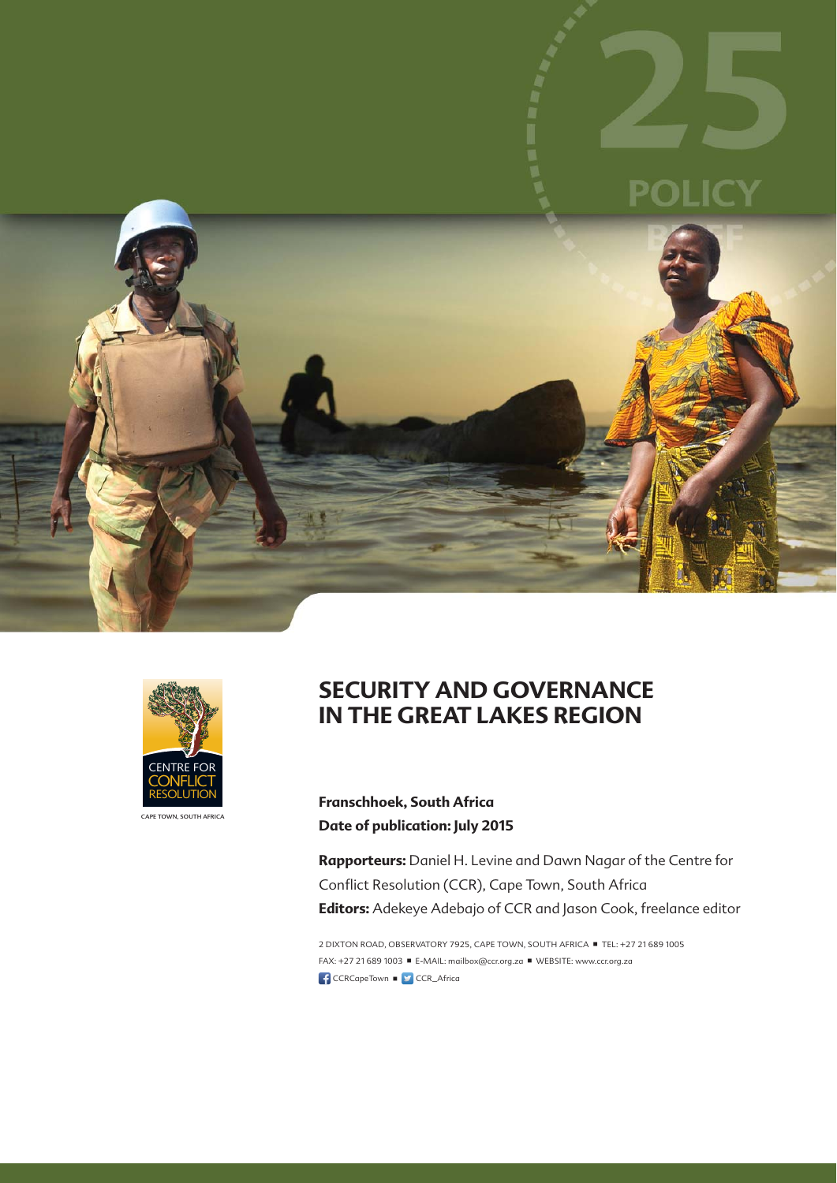





**IN THE GREAT LAKES REGION**

**SECURITY AND GOVERNANCE** 

**Franschhoek, South Africa Date of publication: July 2015**

**Rapporteurs:** Daniel H. Levine and Dawn Nagar of the Centre for Conflict Resolution (CCR), Cape Town, South Africa **Editors:** Adekeye Adebajo of CCR and Jason Cook, freelance editor

2 DIXTON ROAD, OBSERVATORY 7925, CAPE TOWN, SOUTH AFRICA TEL: +27 21 689 1005 FAX: +27 21 689 1003 ■ E-MAIL: mailbox@ccr.org.za ■ WEBSITE: www.ccr.org.za CCRCapeTown **D** CCR\_Africa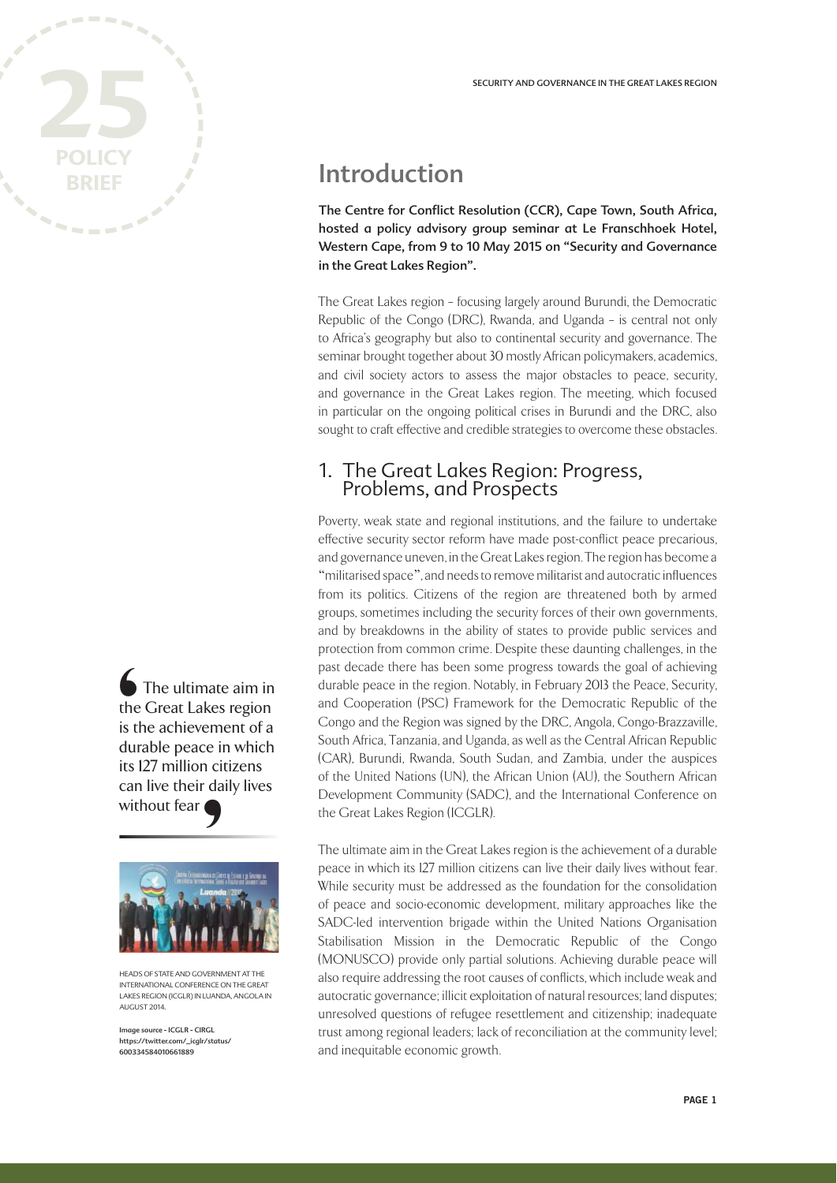

The ultimate aim in the Great Lakes region is the achievement of a durable peace in which its 127 million citizens can live their daily lives without fear **€**<br>the is tl<br>its 1<br>can witl



HEADS OF STATE AND GOVERNMENT AT THE INTERNATIONAL CONFERENCE ON THE GREAT LAKES REGION (ICGLR) IN LUANDA, ANGOLA IN AUGUST 2014.

Image source - ICGLR - CIRGL https://twitter.com/\_icglr/status/ 600334584010661889

# Introduction

The Centre for Conflict Resolution (CCR), Cape Town, South Africa, hosted a policy advisory group seminar at Le Franschhoek Hotel, Western Cape, from 9 to 10 May 2015 on "Security and Governance in the Great Lakes Region".

The Great Lakes region – focusing largely around Burundi, the Democratic Republic of the Congo (DRC), Rwanda, and Uganda – is central not only to Africa's geography but also to continental security and governance. The seminar brought together about 30 mostly African policymakers, academics, and civil society actors to assess the major obstacles to peace, security, and governance in the Great Lakes region. The meeting, which focused in particular on the ongoing political crises in Burundi and the DRC, also sought to craft effective and credible strategies to overcome these obstacles.

# 1. The Great Lakes Region: Progress, Problems, and Prospects

Poverty, weak state and regional institutions, and the failure to undertake effective security sector reform have made post-conflict peace precarious, and governance uneven, in the Great Lakes region. The region has become a "militarised space", and needs to remove militarist and autocratic influences from its politics. Citizens of the region are threatened both by armed groups, sometimes including the security forces of their own governments, and by breakdowns in the ability of states to provide public services and protection from common crime. Despite these daunting challenges, in the past decade there has been some progress towards the goal of achieving durable peace in the region. Notably, in February 2013 the Peace, Security, and Cooperation (PSC) Framework for the Democratic Republic of the Congo and the Region was signed by the DRC, Angola, Congo-Brazzaville, South Africa, Tanzania, and Uganda, as well as the Central African Republic (CAR), Burundi, Rwanda, South Sudan, and Zambia, under the auspices of the United Nations (UN), the African Union (AU), the Southern African Development Community (SADC), and the International Conference on the Great Lakes Region (ICGLR).

The ultimate aim in the Great Lakes region is the achievement of a durable peace in which its 127 million citizens can live their daily lives without fear. While security must be addressed as the foundation for the consolidation of peace and socio-economic development, military approaches like the SADC-led intervention brigade within the United Nations Organisation Stabilisation Mission in the Democratic Republic of the Congo (MONUSCO) provide only partial solutions. Achieving durable peace will also require addressing the root causes of conflicts, which include weak and autocratic governance; illicit exploitation of natural resources; land disputes; unresolved questions of refugee resettlement and citizenship; inadequate trust among regional leaders; lack of reconciliation at the community level; and inequitable economic growth.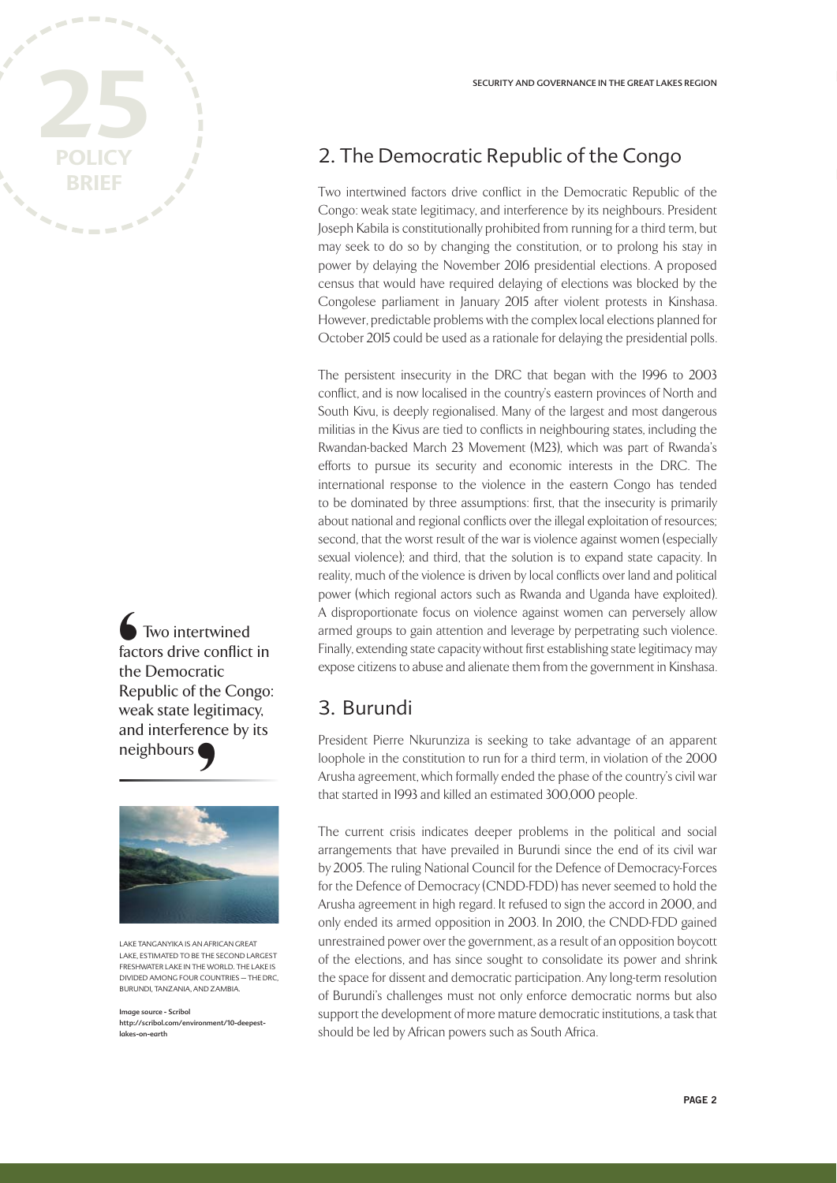

Two intertwined factors drive conflict in the Democratic Republic of the Congo: weak state legitimacy, and interference by its neighbours └──<br>fact<br>the<br>Rep<br>anc<br>neig



LAKE TANGANYIKA IS AN AFRICAN GREAT LAKE, ESTIMATED TO BE THE SECOND LARGEST FRESHWATER LAKE IN THE WORLD. THE LAKE IS DIVIDED AMONG FOUR COUNTRIES – THE DRC, BURUNDI, TANZANIA, AND ZAMBIA.

Image source - Scribol http://scribol.com/environment/10-deepestlakes-on-earth

## 2. The Democratic Republic of the Congo

Two intertwined factors drive conflict in the Democratic Republic of the Congo: weak state legitimacy, and interference by its neighbours. President Joseph Kabila is constitutionally prohibited from running for a third term, but may seek to do so by changing the constitution, or to prolong his stay in power by delaying the November 2016 presidential elections. A proposed census that would have required delaying of elections was blocked by the Congolese parliament in January 2015 after violent protests in Kinshasa. However, predictable problems with the complex local elections planned for October 2015 could be used as a rationale for delaying the presidential polls.

The persistent insecurity in the DRC that began with the 1996 to 2003 conflict, and is now localised in the country's eastern provinces of North and South Kivu, is deeply regionalised. Many of the largest and most dangerous militias in the Kivus are tied to conflicts in neighbouring states, including the Rwandan-backed March 23 Movement (M23), which was part of Rwanda's efforts to pursue its security and economic interests in the DRC. The international response to the violence in the eastern Congo has tended to be dominated by three assumptions: first, that the insecurity is primarily about national and regional conflicts over the illegal exploitation of resources; second, that the worst result of the war is violence against women (especially sexual violence); and third, that the solution is to expand state capacity. In reality, much of the violence is driven by local conflicts over land and political power (which regional actors such as Rwanda and Uganda have exploited). A disproportionate focus on violence against women can perversely allow armed groups to gain attention and leverage by perpetrating such violence. Finally, extending state capacity without first establishing state legitimacy may expose citizens to abuse and alienate them from the government in Kinshasa.

#### 3. Burundi

President Pierre Nkurunziza is seeking to take advantage of an apparent loophole in the constitution to run for a third term, in violation of the 2000 Arusha agreement, which formally ended the phase of the country's civil war that started in 1993 and killed an estimated 300,000 people.

The current crisis indicates deeper problems in the political and social arrangements that have prevailed in Burundi since the end of its civil war by 2005. The ruling National Council for the Defence of Democracy-Forces for the Defence of Democracy (CNDD-FDD) has never seemed to hold the Arusha agreement in high regard. It refused to sign the accord in 2000, and only ended its armed opposition in 2003. In 2010, the CNDD-FDD gained unrestrained power over the government, as a result of an opposition boycott of the elections, and has since sought to consolidate its power and shrink the space for dissent and democratic participation. Any long-term resolution of Burundi's challenges must not only enforce democratic norms but also support the development of more mature democratic institutions, a task that should be led by African powers such as South Africa.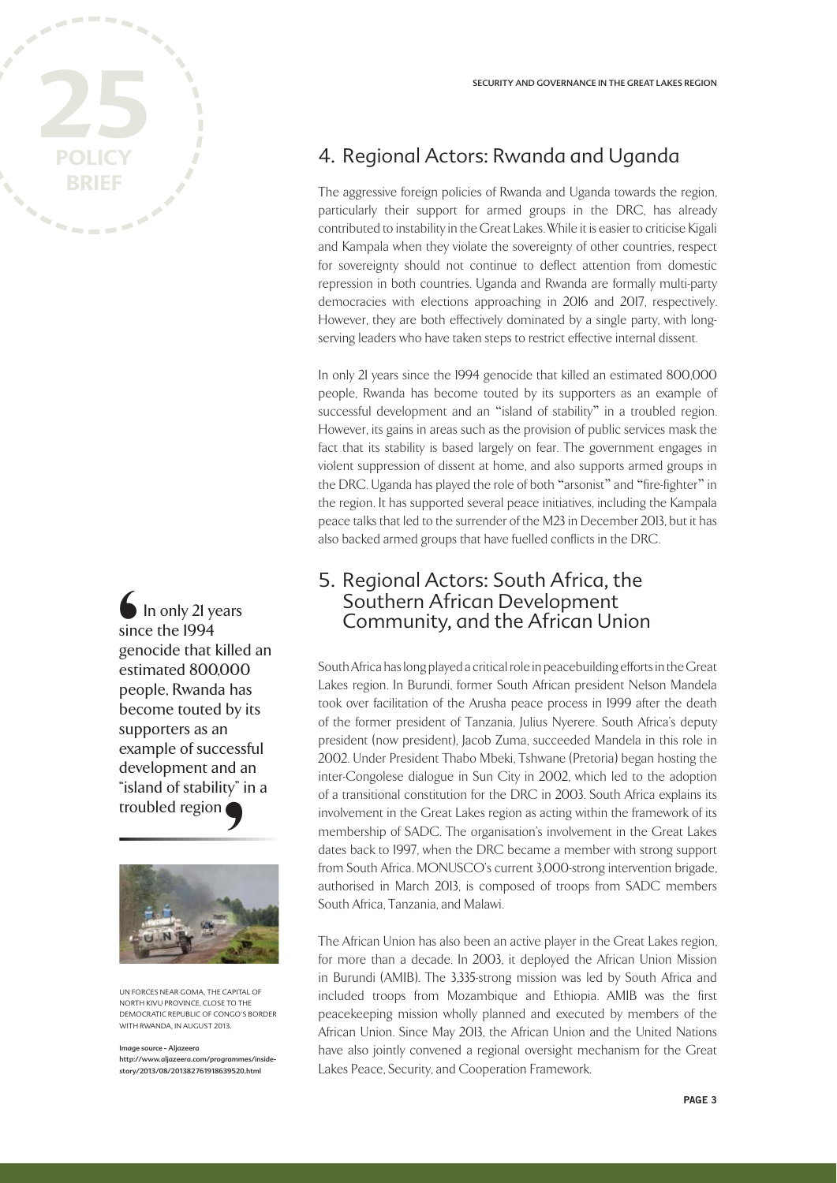

In only 21 years since the 1994 genocide that killed an estimated 800,000 people, Rwanda has become touted by its supporters as an example of successful development and an "island of stability" in a troubled region Singer<br>
singer<br>
esti<br>
pec<br>
sup



UN FORCES NEAR GOMA, THE CAPITAL OF NORTH KIVU PROVINCE, CLOSE TO THE DEMOCRATIC REPUBLIC OF CONGO'S BORDER WITH RWANDA, IN AUGUST 2013.

mage source - Aljazeera http://www.aljazeera.com/programmes/insidestory/2013/08/201382761918639520.html

### 4. Regional Actors: Rwanda and Uganda

The aggressive foreign policies of Rwanda and Uganda towards the region, particularly their support for armed groups in the DRC, has already contributed to instability in the Great Lakes. While it is easier to criticise Kigali and Kampala when they violate the sovereignty of other countries, respect for sovereignty should not continue to deflect attention from domestic repression in both countries. Uganda and Rwanda are formally multi-party democracies with elections approaching in 2016 and 2017, respectively. However, they are both effectively dominated by a single party, with longserving leaders who have taken steps to restrict effective internal dissent.

In only 21 years since the 1994 genocide that killed an estimated 800,000 people, Rwanda has become touted by its supporters as an example of successful development and an "island of stability" in a troubled region. However, its gains in areas such as the provision of public services mask the fact that its stability is based largely on fear. The government engages in violent suppression of dissent at home, and also supports armed groups in the DRC. Uganda has played the role of both "arsonist" and "fire-fighter" in the region. It has supported several peace initiatives, including the Kampala peace talks that led to the surrender of the M23 in December 2013, but it has also backed armed groups that have fuelled conflicts in the DRC.

#### 5. Regional Actors: South Africa, the Southern African Development Community, and the African Union

South Africa has long played a critical role in peacebuilding efforts in the Great Lakes region. In Burundi, former South African president Nelson Mandela took over facilitation of the Arusha peace process in 1999 after the death of the former president of Tanzania, Julius Nyerere. South Africa's deputy president (now president), Jacob Zuma, succeeded Mandela in this role in 2002. Under President Thabo Mbeki, Tshwane (Pretoria) began hosting the inter-Congolese dialogue in Sun City in 2002, which led to the adoption of a transitional constitution for the DRC in 2003. South Africa explains its involvement in the Great Lakes region as acting within the framework of its membership of SADC. The organisation's involvement in the Great Lakes dates back to 1997, when the DRC became a member with strong support from South Africa. MONUSCO's current 3,000-strong intervention brigade, authorised in March 2013, is composed of troops from SADC members South Africa, Tanzania, and Malawi.

The African Union has also been an active player in the Great Lakes region, for more than a decade. In 2003, it deployed the African Union Mission in Burundi (AMIB). The 3,335-strong mission was led by South Africa and included troops from Mozambique and Ethiopia. AMIB was the first peacekeeping mission wholly planned and executed by members of the African Union. Since May 2013, the African Union and the United Nations have also jointly convened a regional oversight mechanism for the Great Lakes Peace, Security, and Cooperation Framework.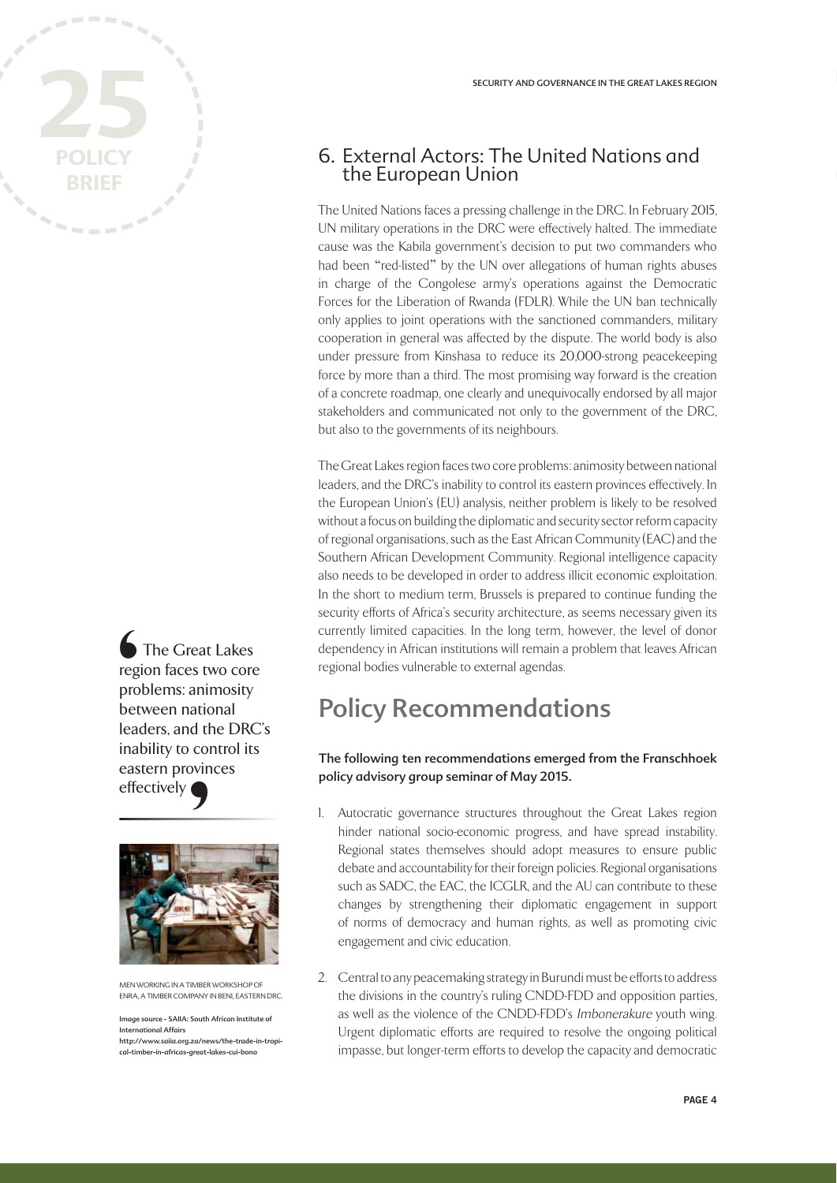

The Great Lakes region faces two core problems: animosity between national leaders, and the DRC's inability to control its eastern provinces effectively Street regions between the strength and continuous continuous continuous continuous continuous continuous continuous continuous continuous continuous continuous continuous continuous continuous continuous continuous contin



MEN WORKING IN A TIMBER WORKSHOP OF ENRA, A TIMBER COMPANY IN BENI, EASTERN DRC.

Image source - SAIIA: South African Institute of International Affairs http://www.saiia.org.za/news/the-trade-in-tropical-timber-in-africas-great-lakes-cui-bono

#### 6. External Actors: The United Nations and the European Union

The United Nations faces a pressing challenge in the DRC. In February 2015, UN military operations in the DRC were effectively halted. The immediate cause was the Kabila government's decision to put two commanders who had been "red-listed" by the UN over allegations of human rights abuses in charge of the Congolese army's operations against the Democratic Forces for the Liberation of Rwanda (FDLR). While the UN ban technically only applies to joint operations with the sanctioned commanders, military cooperation in general was affected by the dispute. The world body is also under pressure from Kinshasa to reduce its 20,000-strong peacekeeping force by more than a third. The most promising way forward is the creation of a concrete roadmap, one clearly and unequivocally endorsed by all major stakeholders and communicated not only to the government of the DRC, but also to the governments of its neighbours.

The Great Lakes region faces two core problems: animosity between national leaders, and the DRC's inability to control its eastern provinces effectively. In the European Union's (EU) analysis, neither problem is likely to be resolved without a focus on building the diplomatic and security sector reform capacity of regional organisations, such as the East African Community (EAC) and the Southern African Development Community. Regional intelligence capacity also needs to be developed in order to address illicit economic exploitation. In the short to medium term, Brussels is prepared to continue funding the security efforts of Africa's security architecture, as seems necessary given its currently limited capacities. In the long term, however, the level of donor dependency in African institutions will remain a problem that leaves African regional bodies vulnerable to external agendas.

# Policy Recommendations

#### The following ten recommendations emerged from the Franschhoek policy advisory group seminar of May 2015.

- 1. Autocratic governance structures throughout the Great Lakes region hinder national socio-economic progress, and have spread instability. Regional states themselves should adopt measures to ensure public debate and accountability for their foreign policies. Regional organisations such as SADC, the EAC, the ICGLR, and the AU can contribute to these changes by strengthening their diplomatic engagement in support of norms of democracy and human rights, as well as promoting civic engagement and civic education.
- 2. Central to any peacemaking strategy in Burundi must be efforts to address the divisions in the country's ruling CNDD-FDD and opposition parties, as well as the violence of the CNDD-FDD's Imbonerakure youth wing. Urgent diplomatic efforts are required to resolve the ongoing political impasse, but longer-term efforts to develop the capacity and democratic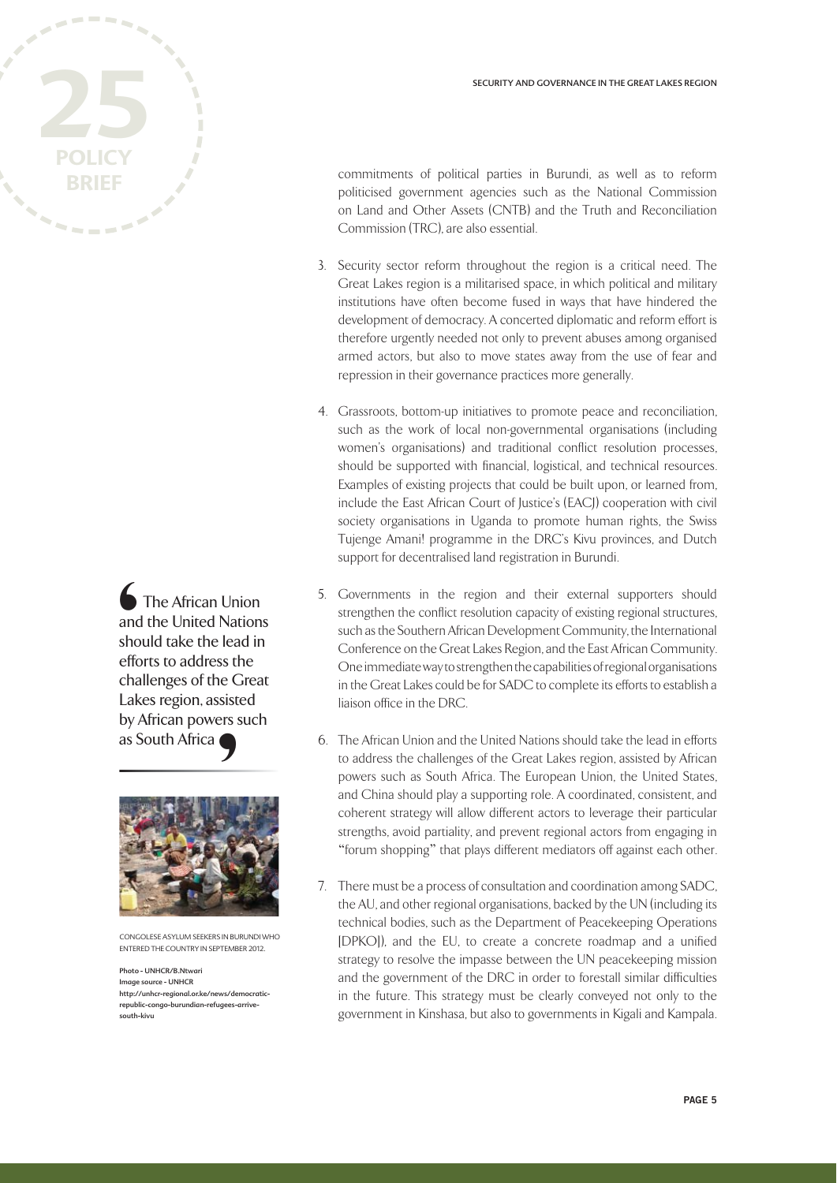

The African Union and the United Nations should take the lead in efforts to address the challenges of the Great Lakes region, assisted by African powers such as South Africa **€**<br>and sho<br>effc cha<br>Lak by /



CONGOLESE ASYLUM SEEKERS IN BURUNDI WHO ENTERED THE COUNTRY IN SEPTEMBER 2012.

Photo - UNHCR/B.Ntwari Image source - UNHCR http://unhcr-regional.or.ke/news/democraticrepublic-congo-burundian-refugees-arrivesouth-kivu

commitments of political parties in Burundi, as well as to reform politicised government agencies such as the National Commission on Land and Other Assets (CNTB) and the Truth and Reconciliation Commission (TRC), are also essential.

- 3. Security sector reform throughout the region is a critical need. The Great Lakes region is a militarised space, in which political and military institutions have often become fused in ways that have hindered the development of democracy. A concerted diplomatic and reform effort is therefore urgently needed not only to prevent abuses among organised armed actors, but also to move states away from the use of fear and repression in their governance practices more generally.
- 4. Grassroots, bottom-up initiatives to promote peace and reconciliation, such as the work of local non-governmental organisations (including women's organisations) and traditional conflict resolution processes, should be supported with financial, logistical, and technical resources. Examples of existing projects that could be built upon, or learned from, include the East African Court of Justice's (EACJ) cooperation with civil society organisations in Uganda to promote human rights, the Swiss Tujenge Amani! programme in the DRC's Kivu provinces, and Dutch support for decentralised land registration in Burundi.
- 5. Governments in the region and their external supporters should strengthen the conflict resolution capacity of existing regional structures, such as the Southern African Development Community, the International Conference on the Great Lakes Region, and the East African Community. One immediate way to strengthen the capabilities of regional organisations in the Great Lakes could be for SADC to complete its efforts to establish a liaison office in the DRC.
- 6. The African Union and the United Nations should take the lead in efforts to address the challenges of the Great Lakes region, assisted by African powers such as South Africa. The European Union, the United States, and China should play a supporting role. A coordinated, consistent, and coherent strategy will allow different actors to leverage their particular strengths, avoid partiality, and prevent regional actors from engaging in "forum shopping" that plays different mediators off against each other.
- 7. There must be a process of consultation and coordination among SADC, the AU, and other regional organisations, backed by the UN (including its technical bodies, such as the Department of Peacekeeping Operations [DPKO]), and the EU, to create a concrete roadmap and a unified strategy to resolve the impasse between the UN peacekeeping mission and the government of the DRC in order to forestall similar difficulties in the future. This strategy must be clearly conveyed not only to the government in Kinshasa, but also to governments in Kigali and Kampala.